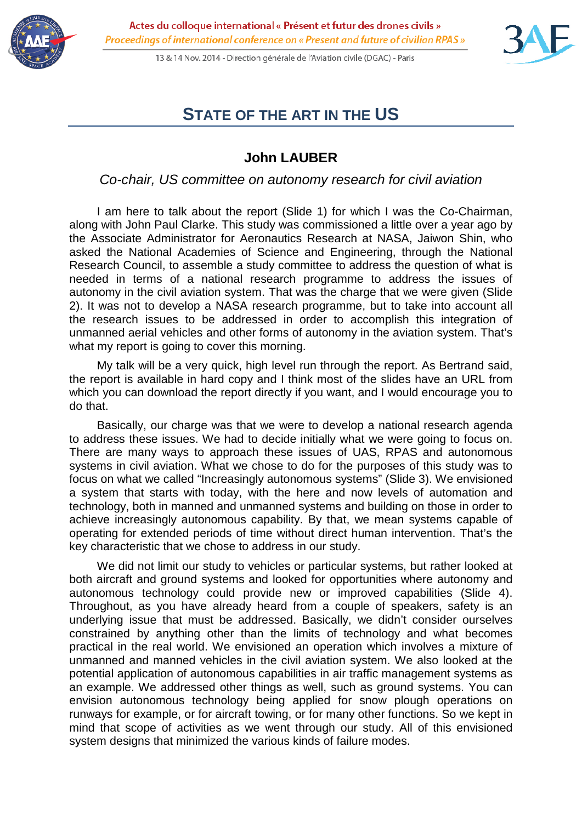

13 & 14 Nov. 2014 - Direction générale de l'Aviation civile (DGAC) - Paris



## **STATE OF THE ART IN THE US**

## **John LAUBER**

*Co-chair, US committee on autonomy research for civil aviation*

I am here to talk about the report (Slide 1) for which I was the Co-Chairman, along with John Paul Clarke. This study was commissioned a little over a year ago by the Associate Administrator for Aeronautics Research at NASA, Jaiwon Shin, who asked the National Academies of Science and Engineering, through the National Research Council, to assemble a study committee to address the question of what is needed in terms of a national research programme to address the issues of autonomy in the civil aviation system. That was the charge that we were given (Slide 2). It was not to develop a NASA research programme, but to take into account all the research issues to be addressed in order to accomplish this integration of unmanned aerial vehicles and other forms of autonomy in the aviation system. That's what my report is going to cover this morning.

My talk will be a very quick, high level run through the report. As Bertrand said, the report is available in hard copy and I think most of the slides have an URL from which you can download the report directly if you want, and I would encourage you to do that.

Basically, our charge was that we were to develop a national research agenda to address these issues. We had to decide initially what we were going to focus on. There are many ways to approach these issues of UAS, RPAS and autonomous systems in civil aviation. What we chose to do for the purposes of this study was to focus on what we called "Increasingly autonomous systems" (Slide 3). We envisioned a system that starts with today, with the here and now levels of automation and technology, both in manned and unmanned systems and building on those in order to achieve increasingly autonomous capability. By that, we mean systems capable of operating for extended periods of time without direct human intervention. That's the key characteristic that we chose to address in our study.

We did not limit our study to vehicles or particular systems, but rather looked at both aircraft and ground systems and looked for opportunities where autonomy and autonomous technology could provide new or improved capabilities (Slide 4). Throughout, as you have already heard from a couple of speakers, safety is an underlying issue that must be addressed. Basically, we didn't consider ourselves constrained by anything other than the limits of technology and what becomes practical in the real world. We envisioned an operation which involves a mixture of unmanned and manned vehicles in the civil aviation system. We also looked at the potential application of autonomous capabilities in air traffic management systems as an example. We addressed other things as well, such as ground systems. You can envision autonomous technology being applied for snow plough operations on runways for example, or for aircraft towing, or for many other functions. So we kept in mind that scope of activities as we went through our study. All of this envisioned system designs that minimized the various kinds of failure modes.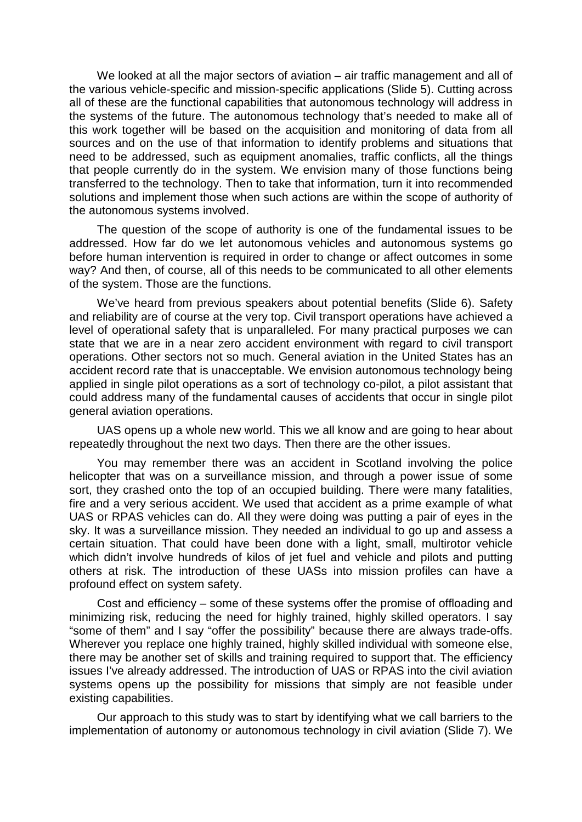We looked at all the major sectors of aviation – air traffic management and all of the various vehicle-specific and mission-specific applications (Slide 5). Cutting across all of these are the functional capabilities that autonomous technology will address in the systems of the future. The autonomous technology that's needed to make all of this work together will be based on the acquisition and monitoring of data from all sources and on the use of that information to identify problems and situations that need to be addressed, such as equipment anomalies, traffic conflicts, all the things that people currently do in the system. We envision many of those functions being transferred to the technology. Then to take that information, turn it into recommended solutions and implement those when such actions are within the scope of authority of the autonomous systems involved.

The question of the scope of authority is one of the fundamental issues to be addressed. How far do we let autonomous vehicles and autonomous systems go before human intervention is required in order to change or affect outcomes in some way? And then, of course, all of this needs to be communicated to all other elements of the system. Those are the functions.

We've heard from previous speakers about potential benefits (Slide 6). Safety and reliability are of course at the very top. Civil transport operations have achieved a level of operational safety that is unparalleled. For many practical purposes we can state that we are in a near zero accident environment with regard to civil transport operations. Other sectors not so much. General aviation in the United States has an accident record rate that is unacceptable. We envision autonomous technology being applied in single pilot operations as a sort of technology co-pilot, a pilot assistant that could address many of the fundamental causes of accidents that occur in single pilot general aviation operations.

UAS opens up a whole new world. This we all know and are going to hear about repeatedly throughout the next two days. Then there are the other issues.

You may remember there was an accident in Scotland involving the police helicopter that was on a surveillance mission, and through a power issue of some sort, they crashed onto the top of an occupied building. There were many fatalities, fire and a very serious accident. We used that accident as a prime example of what UAS or RPAS vehicles can do. All they were doing was putting a pair of eyes in the sky. It was a surveillance mission. They needed an individual to go up and assess a certain situation. That could have been done with a light, small, multirotor vehicle which didn't involve hundreds of kilos of jet fuel and vehicle and pilots and putting others at risk. The introduction of these UASs into mission profiles can have a profound effect on system safety.

Cost and efficiency – some of these systems offer the promise of offloading and minimizing risk, reducing the need for highly trained, highly skilled operators. I say "some of them" and I say "offer the possibility" because there are always trade-offs. Wherever you replace one highly trained, highly skilled individual with someone else, there may be another set of skills and training required to support that. The efficiency issues I've already addressed. The introduction of UAS or RPAS into the civil aviation systems opens up the possibility for missions that simply are not feasible under existing capabilities.

Our approach to this study was to start by identifying what we call barriers to the implementation of autonomy or autonomous technology in civil aviation (Slide 7). We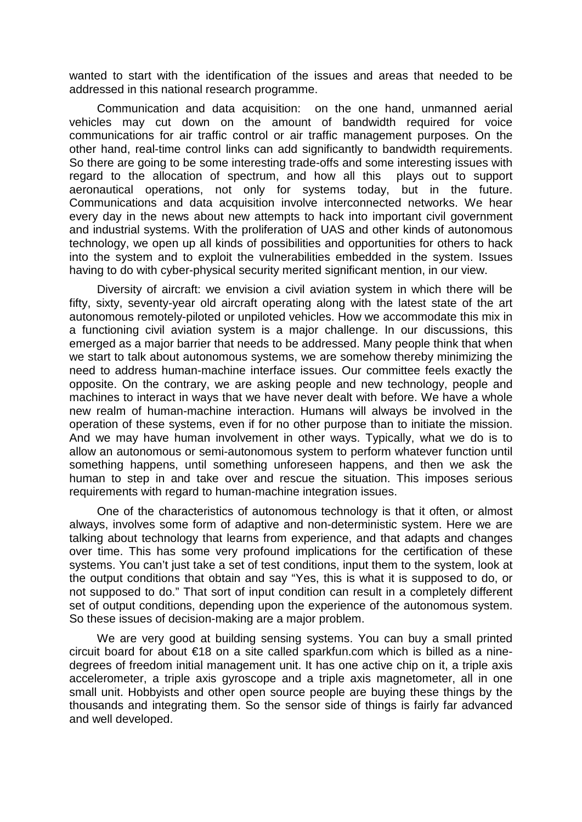wanted to start with the identification of the issues and areas that needed to be addressed in this national research programme.

Communication and data acquisition: on the one hand, unmanned aerial vehicles may cut down on the amount of bandwidth required for voice communications for air traffic control or air traffic management purposes. On the other hand, real-time control links can add significantly to bandwidth requirements. So there are going to be some interesting trade-offs and some interesting issues with regard to the allocation of spectrum, and how all this plays out to support aeronautical operations, not only for systems today, but in the future. Communications and data acquisition involve interconnected networks. We hear every day in the news about new attempts to hack into important civil government and industrial systems. With the proliferation of UAS and other kinds of autonomous technology, we open up all kinds of possibilities and opportunities for others to hack into the system and to exploit the vulnerabilities embedded in the system. Issues having to do with cyber-physical security merited significant mention, in our view.

Diversity of aircraft: we envision a civil aviation system in which there will be fifty, sixty, seventy-year old aircraft operating along with the latest state of the art autonomous remotely-piloted or unpiloted vehicles. How we accommodate this mix in a functioning civil aviation system is a major challenge. In our discussions, this emerged as a major barrier that needs to be addressed. Many people think that when we start to talk about autonomous systems, we are somehow thereby minimizing the need to address human-machine interface issues. Our committee feels exactly the opposite. On the contrary, we are asking people and new technology, people and machines to interact in ways that we have never dealt with before. We have a whole new realm of human-machine interaction. Humans will always be involved in the operation of these systems, even if for no other purpose than to initiate the mission. And we may have human involvement in other ways. Typically, what we do is to allow an autonomous or semi-autonomous system to perform whatever function until something happens, until something unforeseen happens, and then we ask the human to step in and take over and rescue the situation. This imposes serious requirements with regard to human-machine integration issues.

One of the characteristics of autonomous technology is that it often, or almost always, involves some form of adaptive and non-deterministic system. Here we are talking about technology that learns from experience, and that adapts and changes over time. This has some very profound implications for the certification of these systems. You can't just take a set of test conditions, input them to the system, look at the output conditions that obtain and say "Yes, this is what it is supposed to do, or not supposed to do." That sort of input condition can result in a completely different set of output conditions, depending upon the experience of the autonomous system. So these issues of decision-making are a major problem.

We are very good at building sensing systems. You can buy a small printed circuit board for about €18 on a site called sparkfun.com which is billed as a ninedegrees of freedom initial management unit. It has one active chip on it, a triple axis accelerometer, a triple axis gyroscope and a triple axis magnetometer, all in one small unit. Hobbyists and other open source people are buying these things by the thousands and integrating them. So the sensor side of things is fairly far advanced and well developed.